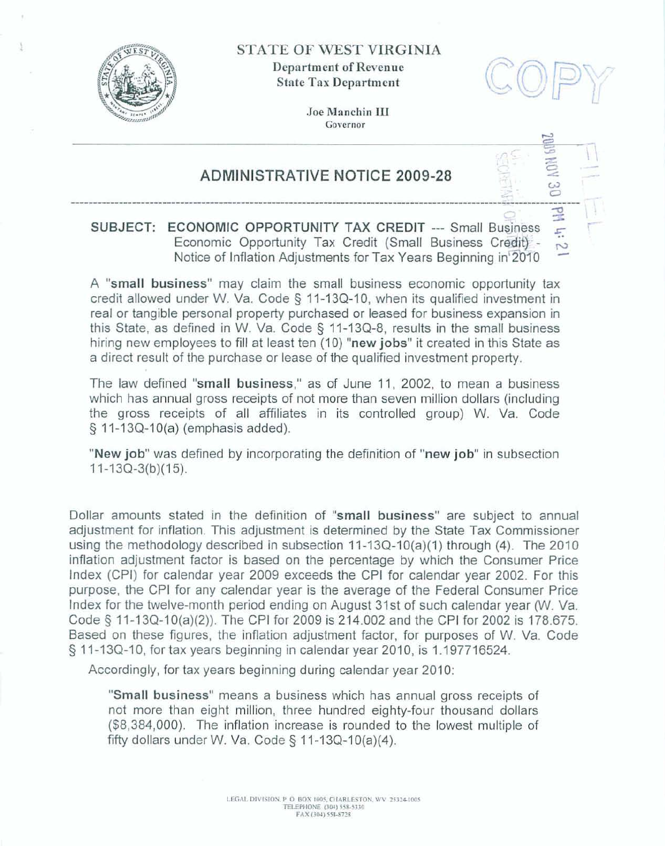

**STATE OF WEST VIRGINIA** 

**Department of Revenue State Tax Department** 

ω

È,

Joe Manchin III Governor

## **ADMINISTRATIVE NOTICE 2009-28**

## $\frac{1}{2}$ SUBJECT: ECONOMIC OPPORTUNITY TAX CREDIT --- Small Business Economic Opportunity Tax Credit (Small Business Credit) -Notice of Inflation Adjustments for Tax Years Beginning in 2010

A "small business" may claim the small business economic opportunity tax credit allowed under W. Va. Code § 11-13Q-10, when its qualified investment in real or tangible personal property purchased or leased for business expansion in this State, as defined in W. Va. Code § 11-13Q-8, results in the small business hiring new employees to fill at least ten (10) "new jobs" it created in this State as a direct result of the purchase or lease of the qualified investment property.

The law defined "small business," as of June 11, 2002, to mean a business which has annual gross receipts of not more than seven million dollars (including the gross receipts of all affiliates in its controlled group) W. Va. Code § 11-13Q-10(a) (emphasis added).

"New job" was defined by incorporating the definition of "new job" in subsection  $11-13Q-3(b)(15)$ .

Dollar amounts stated in the definition of "small business" are subject to annual adjustment for inflation. This adjustment is determined by the State Tax Commissioner using the methodology described in subsection 11-13Q-10(a)(1) through (4). The 2010 inflation adjustment factor is based on the percentage by which the Consumer Price Index (CPI) for calendar year 2009 exceeds the CPI for calendar year 2002. For this purpose, the CPI for any calendar year is the average of the Federal Consumer Price Index for the twelve-month period ending on August 31st of such calendar year (W. Va. Code § 11-13Q-10(a)(2)). The CPI for 2009 is 214.002 and the CPI for 2002 is 178.675. Based on these figures, the inflation adjustment factor, for purposes of W. Va. Code § 11-13Q-10, for tax years beginning in calendar year 2010, is 1.197716524.

Accordingly, for tax years beginning during calendar year 2010:

"Small business" means a business which has annual gross receipts of not more than eight million, three hundred eighty-four thousand dollars (\$8,384,000). The inflation increase is rounded to the lowest multiple of fifty dollars under W. Va. Code  $\S$  11-13Q-10(a)(4).